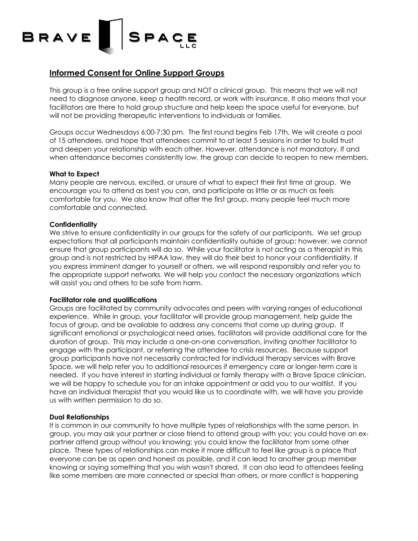# BRAVE **SPACE**

### **Informed Consent for Online Support Groups**

This group is a free online support group and NOT a clinical group. This means that we will not need to diagnose anyone, keep a health record, or work with insurance. It also means that your facilitators are there to hold group structure and help keep the space useful for everyone, but will not be providing therapeutic interventions to individuals or families.

Groups occur Wednesdays 6:00-7:30 pm. The first round begins Feb 17th. We will create a pool of 15 attendees, and hope that attendees commit to at least 5 sessions in order to build trust and deepen your relationship with each other. However, attendance is not mandatory. If and when attendance becomes consistently low, the group can decide to reopen to new members.

#### **What to Expect**

Many people are nervous, excited, or unsure of what to expect their first time at group. We encourage you to attend as best you can, and participate as little or as much as feels comfortable for you. We also know that after the first group, many people feel much more comfortable and connected.

#### **Confidentiality**

We strive to ensure confidentiality in our groups for the safety of our participants. We set group expectations that all participants maintain confidentiality outside of group; however, we cannot ensure that group participants will do so. While your facilitator is not acting as a therapist in this group and is not restricted by HIPAA law, they will do their best to honor your confidentiality. If you express imminent danger to yourself or others, we will respond responsibly and refer you to the appropriate support networks. We will help you contact the necessary organizations which will assist you and others to be safe from harm.

#### **Facilitator role and qualifications**

Groups are facilitated by community advocates and peers with varying ranges of educational experience. While in group, your facilitator will provide group management, help guide the focus of group, and be available to address any concerns that come up during group. If significant emotional or psychological need arises, facilitators will provide additional care for the duration of group. This may include a one-on-one conversation, inviting another facilitator to engage with the participant, or referring the attendee to crisis resources. Because support group participants have not necessarily contracted for individual therapy services with Brave Space, we will help refer you to additional resources if emergency care or longer-term care is needed. If you have interest in starting individual or family therapy with a Brave Space clinician, we will be happy to schedule you for an intake appointment or add you to our waitlist. If you have an individual therapist that you would like us to coordinate with, we will have you provide us with written permission to do so.

#### **Dual Relationships**

It is common in our community to have multiple types of relationships with the same person. In group, you may ask your partner or close friend to attend group with you; you could have an expartner attend group without you knowing; you could know the facilitator from some other place. These types of relationships can make it more difficult to feel like group is a place that everyone can be as open and honest as possible, and it can lead to another group member knowing or saying something that you wish wasn't shared. It can also lead to attendees feeling like some members are more connected or special than others, or more conflict is happening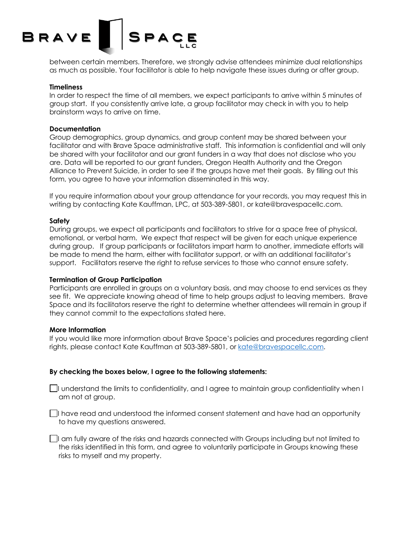## SPACE BRAVE

between certain members. Therefore, we strongly advise attendees minimize dual relationships as much as possible. Your facilitator is able to help navigate these issues during or after group.

#### **Timeliness**

In order to respect the time of all members, we expect participants to arrive within 5 minutes of group start. If you consistently arrive late, a group facilitator may check in with you to help brainstorm ways to arrive on time.

#### **Documentation**

Group demographics, group dynamics, and group content may be shared between your facilitator and with Brave Space administrative staff. This information is confidential and will only be shared with your facilitator and our grant funders in a way that does not disclose who you are. Data will be reported to our grant funders, Oregon Health Authority and the Oregon Alliance to Prevent Suicide, in order to see if the groups have met their goals. By filling out this form, you agree to have your information disseminated in this way.

If you require information about your group attendance for your records, you may request this in writing by contacting Kate Kauffman, LPC, at 503-389-5801, or kate@bravespacellc.com.

#### **Safety**

During groups, we expect all participants and facilitators to strive for a space free of physical, emotional, or verbal harm. We expect that respect will be given for each unique experience during group. If group participants or facilitators impart harm to another, immediate efforts will be made to mend the harm, either with facilitator support, or with an additional facilitator's support. Facilitators reserve the right to refuse services to those who cannot ensure safety.

#### **Termination of Group Participation**

Participants are enrolled in groups on a voluntary basis, and may choose to end services as they see fit. We appreciate knowing ahead of time to help groups adjust to leaving members. Brave Space and its facilitators reserve the right to determine whether attendees will remain in group if they cannot commit to the expectations stated here.

#### **More Information**

If you would like more information about Brave Space's policies and procedures regarding client rights, please contact Kate Kauffman at 503-389-5801, or kate@bravespacellc.com.

#### **By checking the boxes below, I agree to the following statements:**

 $\Box$  understand the limits to confidentiality, and I agree to maintain group confidentiality when I am not at group.

 $\Box$ I have read and understood the informed consent statement and have had an opportunity to have my questions answered.

I am fully aware of the risks and hazards connected with Groups including but not limited to the risks identified in this form, and agree to voluntarily participate in Groups knowing these risks to myself and my property.